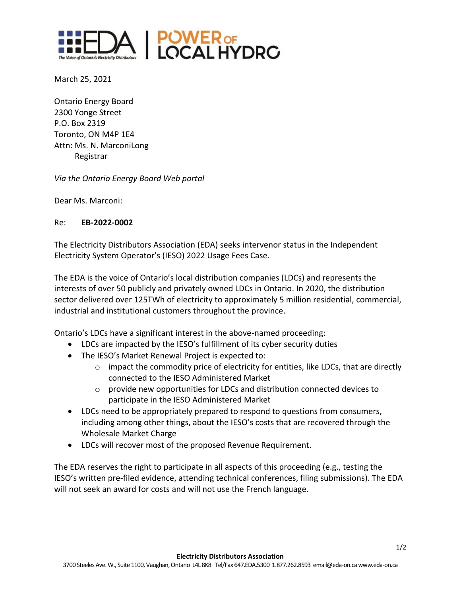

March 25, 2021

Ontario Energy Board 2300 Yonge Street P.O. Box 2319 Toronto, ON M4P 1E4 Attn: Ms. N. MarconiLong Registrar

*Via the Ontario Energy Board Web portal*

Dear Ms. Marconi:

## Re: **EB-2022-0002**

The Electricity Distributors Association (EDA) seeks intervenor status in the Independent Electricity System Operator's (IESO) 2022 Usage Fees Case.

The EDA is the voice of Ontario's local distribution companies (LDCs) and represents the interests of over 50 publicly and privately owned LDCs in Ontario. In 2020, the distribution sector delivered over 125TWh of electricity to approximately 5 million residential, commercial, industrial and institutional customers throughout the province.

Ontario's LDCs have a significant interest in the above-named proceeding:

- LDCs are impacted by the IESO's fulfillment of its cyber security duties
- The IESO's Market Renewal Project is expected to:
	- $\circ$  impact the commodity price of electricity for entities, like LDCs, that are directly connected to the IESO Administered Market
	- $\circ$  provide new opportunities for LDCs and distribution connected devices to participate in the IESO Administered Market
- LDCs need to be appropriately prepared to respond to questions from consumers, including among other things, about the IESO's costs that are recovered through the Wholesale Market Charge
- LDCs will recover most of the proposed Revenue Requirement.

The EDA reserves the right to participate in all aspects of this proceeding (e.g., testing the IESO's written pre-filed evidence, attending technical conferences, filing submissions). The EDA will not seek an award for costs and will not use the French language.